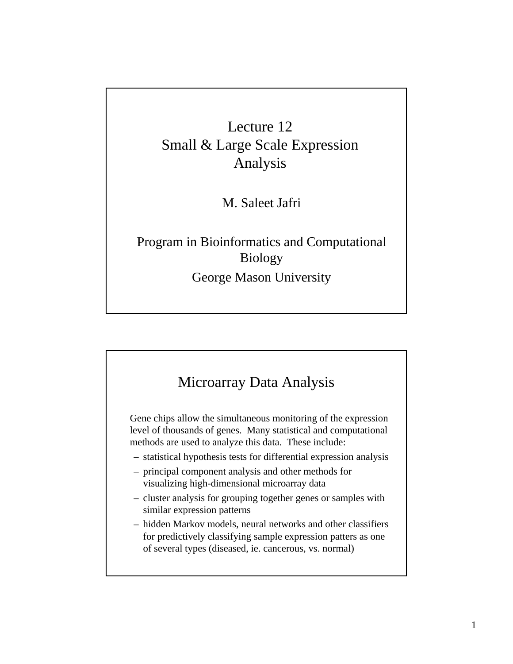# Lecture 12 Small & Large Scale Expression Analysis

M. Saleet Jafri

#### Program in Bioinformatics and Computational Biology George Mason University



Gene chips allow the simultaneous monitoring of the expression level of thousands of genes. Many statistical and computational methods are used to analyze this data. These include:

- statistical hypothesis tests for differential expression analysis
- principal component analysis and other methods for visualizing high-dimensional microarray data
- cluster analysis for grouping together genes or samples with similar expression patterns
- hidden Markov models, neural networks and other classifiers for predictively classifying sample expression patters as one of several types (diseased, ie. cancerous, vs. normal)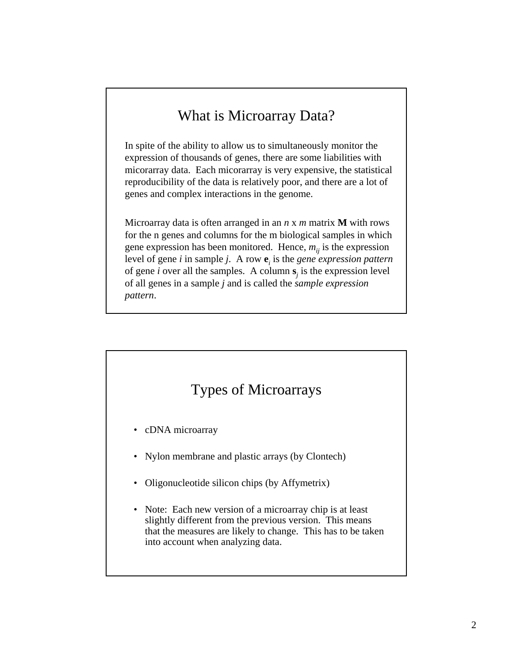# What is Microarray Data?

In spite of the ability to allow us to simultaneously monitor the expression of thousands of genes, there are some liabilities with micorarray data. Each micorarray is very expensive, the statistical reproducibility of the data is relatively poor, and there are a lot of genes and complex interactions in the genome.

Microarray data is often arranged in an *n* x *m* matrix **M** with rows for the n genes and columns for the m biological samples in which gene expression has been monitored. Hence,  $m_{ij}$  is the expression level of gene *i* in sample *j*. A row **e***<sup>i</sup>* is the *gene expression pattern* of gene *i* over all the samples. A column **s***<sup>j</sup>* is the expression level of all genes in a sample *j* and is called the *sample expression pattern*.

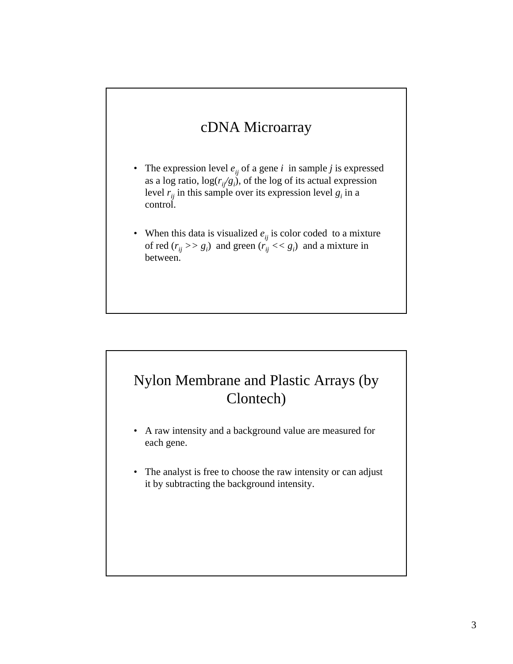#### cDNA Microarray

- The expression level  $e_{ij}$  of a gene  $i$  in sample  $j$  is expressed as a log ratio,  $log(r_i/g_i)$ , of the log of its actual expression level  $r_{ij}$  in this sample over its expression level  $g_i$  in a control.
- When this data is visualized  $e_{ij}$  is color coded to a mixture of red  $(r_{ij} \gg g_i)$  and green  $(r_{ij} \ll g_i)$  and a mixture in between.

# Nylon Membrane and Plastic Arrays (by Clontech)

- A raw intensity and a background value are measured for each gene.
- The analyst is free to choose the raw intensity or can adjust it by subtracting the background intensity.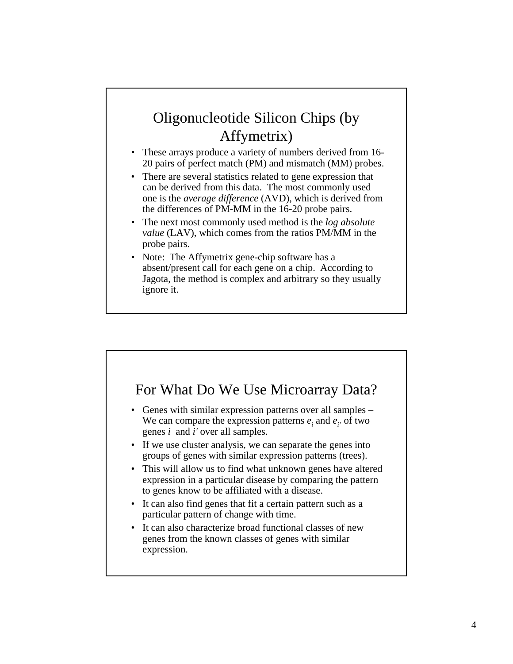# Oligonucleotide Silicon Chips (by Affymetrix)

- These arrays produce a variety of numbers derived from 16- 20 pairs of perfect match (PM) and mismatch (MM) probes.
- There are several statistics related to gene expression that can be derived from this data. The most commonly used one is the *average difference* (AVD), which is derived from the differences of PM-MM in the 16-20 probe pairs.
- The next most commonly used method is the *log absolute value* (LAV), which comes from the ratios PM/MM in the probe pairs.
- Note: The Affymetrix gene-chip software has a absent/present call for each gene on a chip. According to Jagota, the method is complex and arbitrary so they usually ignore it.

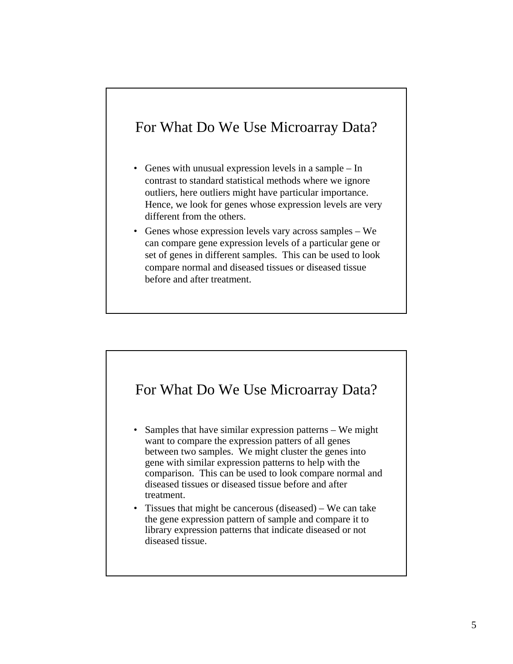# For What Do We Use Microarray Data?

- Genes with unusual expression levels in a sample In contrast to standard statistical methods where we ignore outliers, here outliers might have particular importance. Hence, we look for genes whose expression levels are very different from the others.
- Genes whose expression levels vary across samples We can compare gene expression levels of a particular gene or set of genes in different samples. This can be used to look compare normal and diseased tissues or diseased tissue before and after treatment.



- Samples that have similar expression patterns We might want to compare the expression patters of all genes between two samples. We might cluster the genes into gene with similar expression patterns to help with the comparison. This can be used to look compare normal and diseased tissues or diseased tissue before and after treatment.
- Tissues that might be cancerous (diseased) We can take the gene expression pattern of sample and compare it to library expression patterns that indicate diseased or not diseased tissue.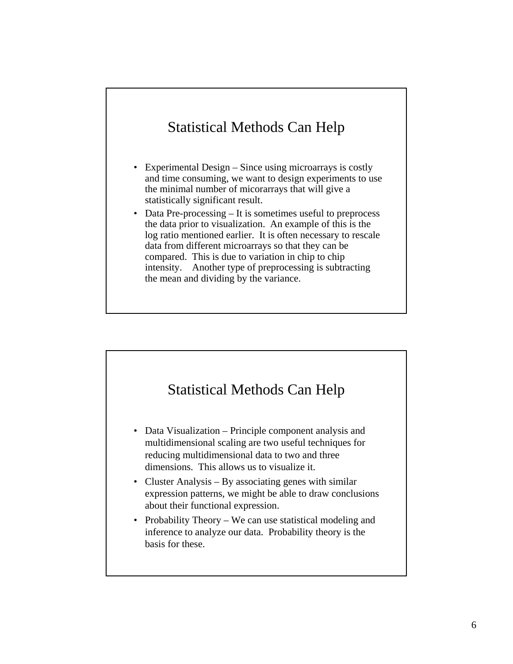# Statistical Methods Can Help

- Experimental Design Since using microarrays is costly and time consuming, we want to design experiments to use the minimal number of micorarrays that will give a statistically significant result.
- Data Pre-processing It is sometimes useful to preprocess the data prior to visualization. An example of this is the log ratio mentioned earlier. It is often necessary to rescale data from different microarrays so that they can be compared. This is due to variation in chip to chip intensity. Another type of preprocessing is subtracting the mean and dividing by the variance.

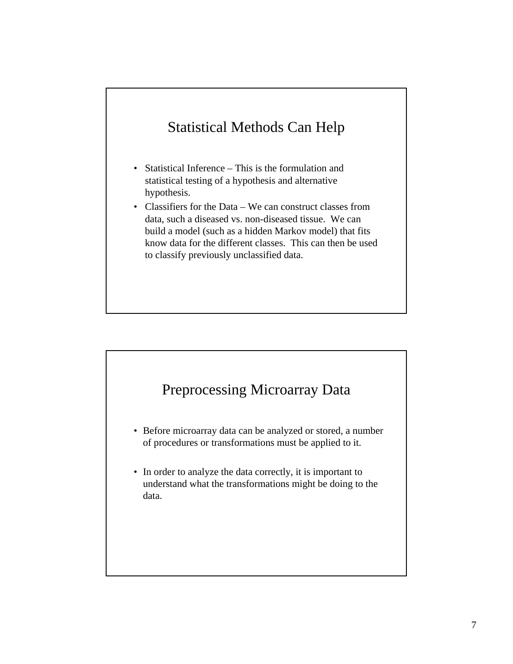# Statistical Methods Can Help

- Statistical Inference This is the formulation and statistical testing of a hypothesis and alternative hypothesis.
- Classifiers for the Data We can construct classes from data, such a diseased vs. non-diseased tissue. We can build a model (such as a hidden Markov model) that fits know data for the different classes. This can then be used to classify previously unclassified data.

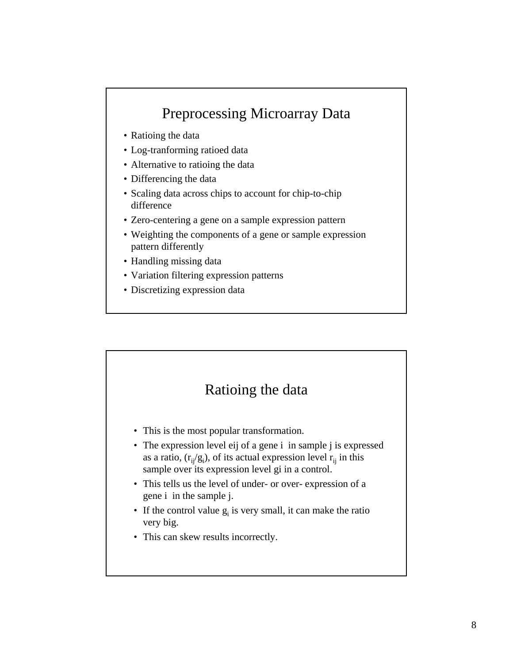# Preprocessing Microarray Data

- Ratioing the data
- Log-tranforming ratioed data
- Alternative to ratioing the data
- Differencing the data
- Scaling data across chips to account for chip-to-chip difference
- Zero-centering a gene on a sample expression pattern
- Weighting the components of a gene or sample expression pattern differently
- Handling missing data
- Variation filtering expression patterns
- Discretizing expression data

# Ratioing the data

- This is the most popular transformation.
- The expression level eij of a gene i in sample j is expressed as a ratio,  $(r_{ij}/g_i)$ , of its actual expression level  $r_{ij}$  in this sample over its expression level gi in a control.
- This tells us the level of under- or over- expression of a gene i in the sample j.
- If the control value  $g_i$  is very small, it can make the ratio very big.
- This can skew results incorrectly.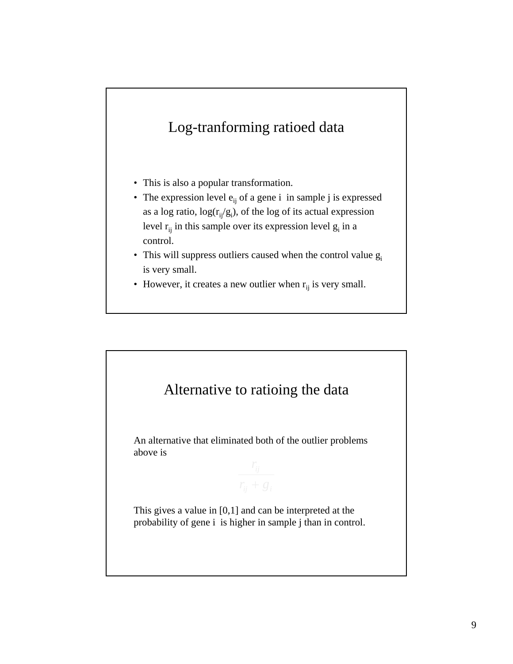# Log-tranforming ratioed data

- This is also a popular transformation.
- The expression level  $e_{ii}$  of a gene i in sample j is expressed as a log ratio,  $log(r_{ij}/g_i)$ , of the log of its actual expression level  $r_{ij}$  in this sample over its expression level  $g_i$  in a control.
- This will suppress outliers caused when the control value  $g_i$ is very small.
- However, it creates a new outlier when  $r_{ij}$  is very small.

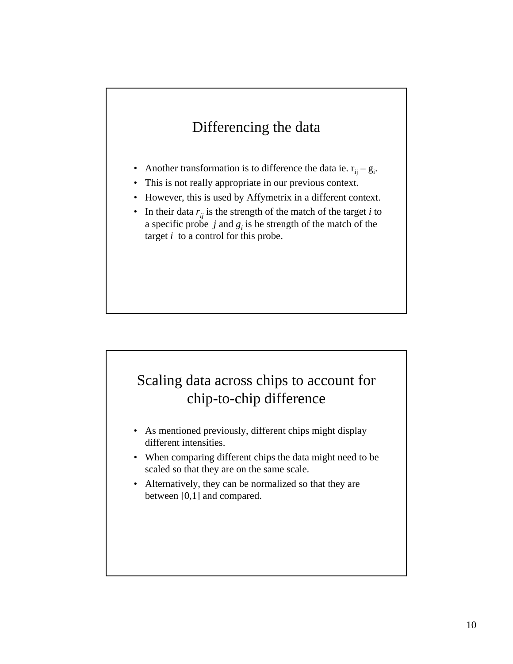# Differencing the data

- Another transformation is to difference the data ie.  $r_{ij} g_i$ .
- This is not really appropriate in our previous context.
- However, this is used by Affymetrix in a different context.
- In their data  $r_{ij}$  is the strength of the match of the target *i* to a specific probe  $j$  and  $g_i$  is he strength of the match of the target *i* to a control for this probe.

# Scaling data across chips to account for chip-to-chip difference

- As mentioned previously, different chips might display different intensities.
- When comparing different chips the data might need to be scaled so that they are on the same scale.
- Alternatively, they can be normalized so that they are between [0,1] and compared.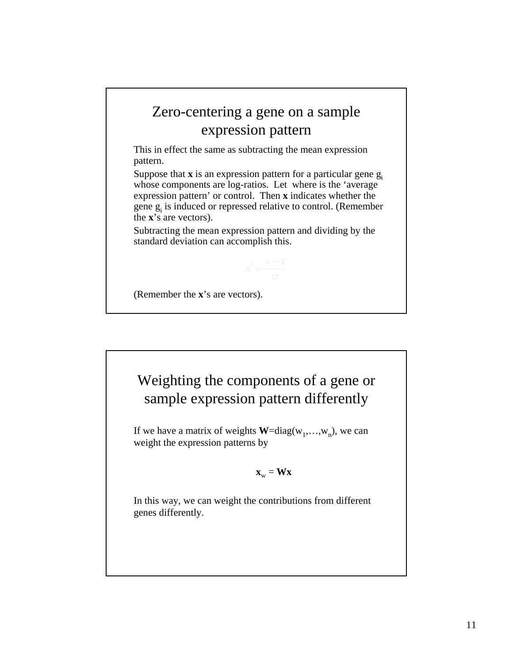# Zero-centering a gene on a sample expression pattern

This in effect the same as subtracting the mean expression pattern.

Suppose that  $\bf{x}$  is an expression pattern for a particular gene  $g_i$ whose components are log-ratios. Let where is the 'average expression pattern' or control. Then **x** indicates whether the gene  $g_i$  is induced or repressed relative to control. (Remember the **x**'s are vectors).

Subtracting the mean expression pattern and dividing by the standard deviation can accomplish this.

(Remember the **x**'s are vectors).



If we have a matrix of weights  $W = diag(w_1,...,w_n)$ , we can weight the expression patterns by

#### $\mathbf{x}_w = \mathbf{W}\mathbf{x}$

In this way, we can weight the contributions from different genes differently.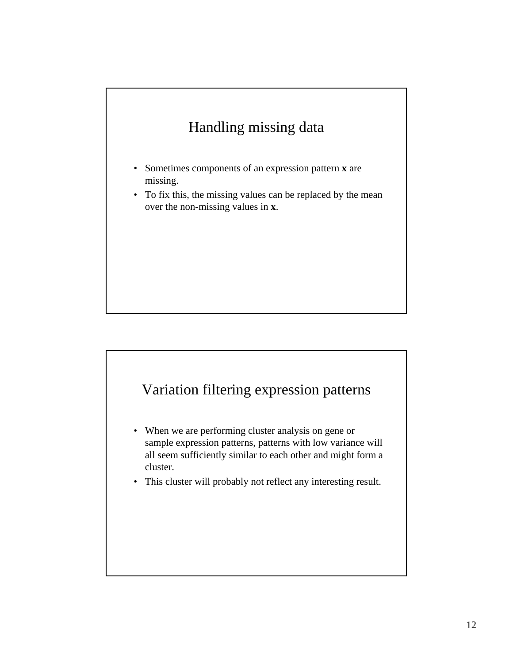# Handling missing data

- Sometimes components of an expression pattern **x** are missing.
- To fix this, the missing values can be replaced by the mean over the non-missing values in **x**.

# Variation filtering expression patterns

- When we are performing cluster analysis on gene or sample expression patterns, patterns with low variance will all seem sufficiently similar to each other and might form a cluster.
- This cluster will probably not reflect any interesting result.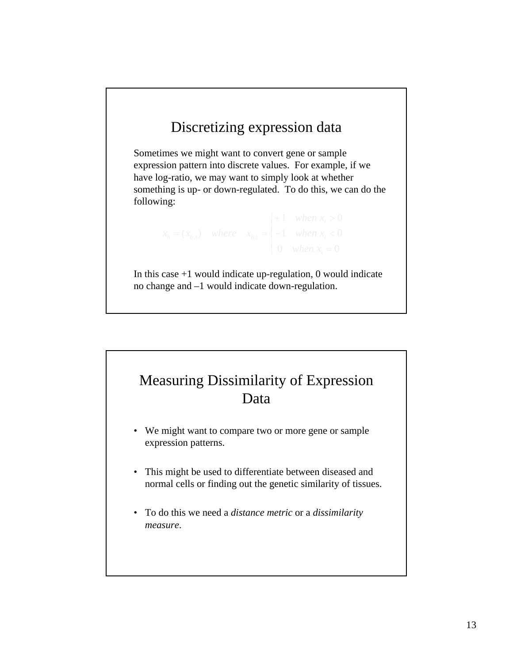# Discretizing expression data

Sometimes we might want to convert gene or sample expression pattern into discrete values. For example, if we have log-ratio, we may want to simply look at whether something is up- or down-regulated. To do this, we can do the following:

In this case  $+1$  would indicate up-regulation, 0 would indicate no change and –1 would indicate down-regulation.

# Measuring Dissimilarity of Expression Data

- We might want to compare two or more gene or sample expression patterns.
- This might be used to differentiate between diseased and normal cells or finding out the genetic similarity of tissues.
- To do this we need a *distance metric* or a *dissimilarity measure*.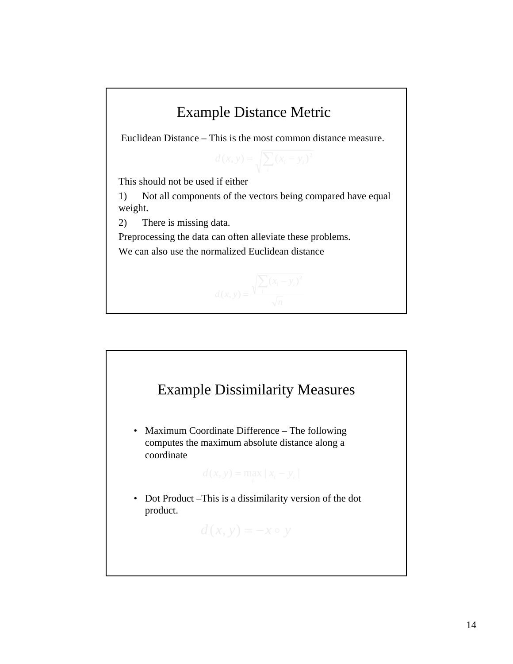

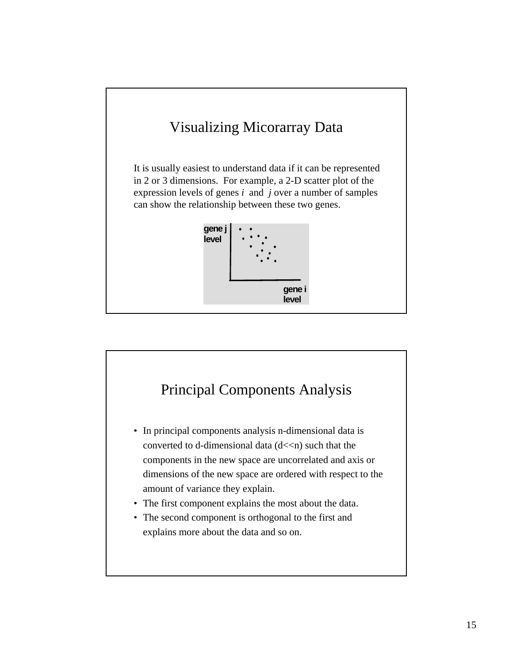

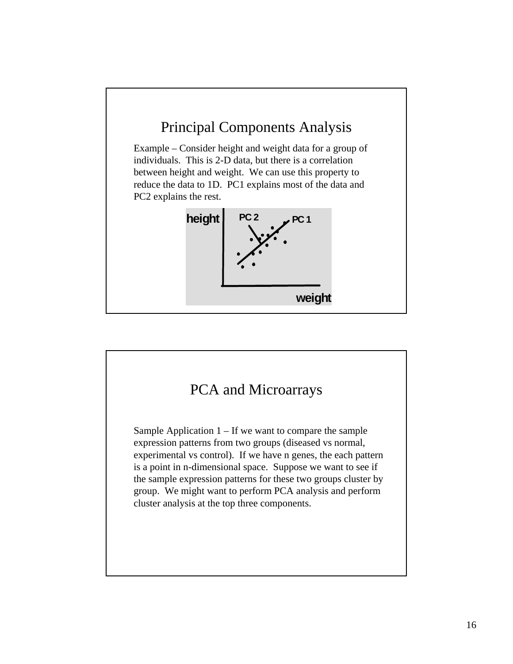

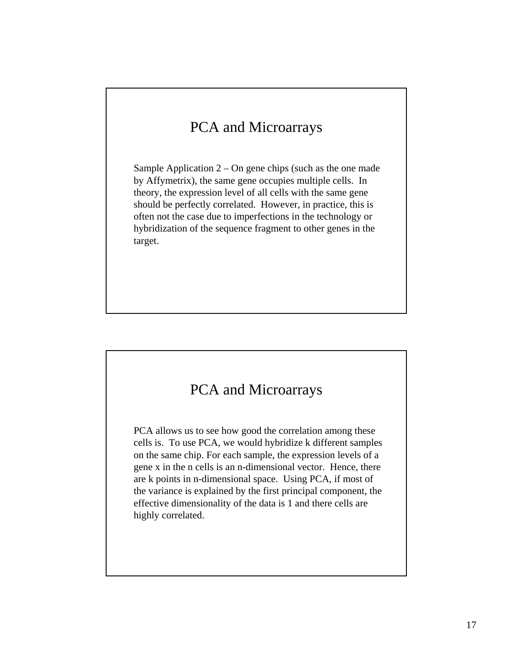# PCA and Microarrays

Sample Application  $2 - On$  gene chips (such as the one made by Affymetrix), the same gene occupies multiple cells. In theory, the expression level of all cells with the same gene should be perfectly correlated. However, in practice, this is often not the case due to imperfections in the technology or hybridization of the sequence fragment to other genes in the target.

#### PCA and Microarrays

PCA allows us to see how good the correlation among these cells is. To use PCA, we would hybridize k different samples on the same chip. For each sample, the expression levels of a gene x in the n cells is an n-dimensional vector. Hence, there are k points in n-dimensional space. Using PCA, if most of the variance is explained by the first principal component, the effective dimensionality of the data is 1 and there cells are highly correlated.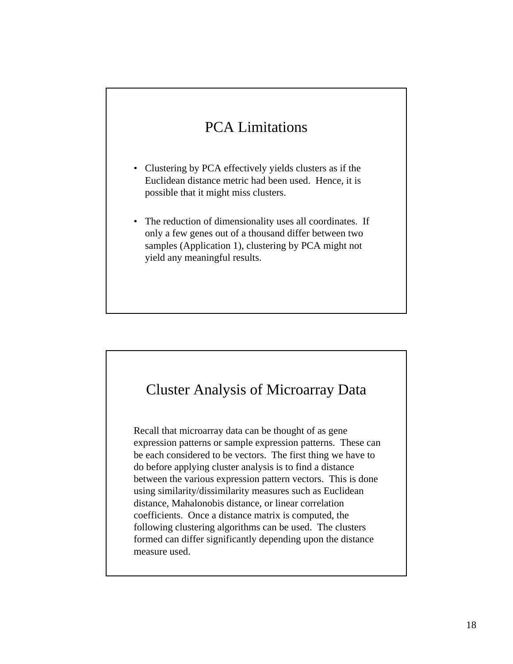# PCA Limitations

- Clustering by PCA effectively yields clusters as if the Euclidean distance metric had been used. Hence, it is possible that it might miss clusters.
- The reduction of dimensionality uses all coordinates. If only a few genes out of a thousand differ between two samples (Application 1), clustering by PCA might not yield any meaningful results.

#### Cluster Analysis of Microarray Data

Recall that microarray data can be thought of as gene expression patterns or sample expression patterns. These can be each considered to be vectors. The first thing we have to do before applying cluster analysis is to find a distance between the various expression pattern vectors. This is done using similarity/dissimilarity measures such as Euclidean distance, Mahalonobis distance, or linear correlation coefficients. Once a distance matrix is computed, the following clustering algorithms can be used. The clusters formed can differ significantly depending upon the distance measure used.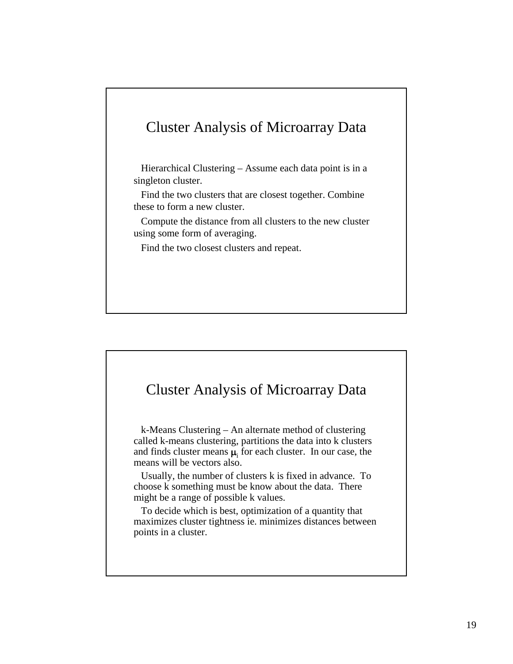#### Cluster Analysis of Microarray Data

Hierarchical Clustering – Assume each data point is in a singleton cluster.

Find the two clusters that are closest together. Combine these to form a new cluster.

Compute the distance from all clusters to the new cluster using some form of averaging.

Find the two closest clusters and repeat.

#### Cluster Analysis of Microarray Data

k-Means Clustering – An alternate method of clustering called k-means clustering, partitions the data into k clusters and finds cluster means  $\mu_i$  for each cluster. In our case, the means will be vectors also.

Usually, the number of clusters k is fixed in advance. To choose k something must be know about the data. There might be a range of possible k values.

To decide which is best, optimization of a quantity that maximizes cluster tightness ie. minimizes distances between points in a cluster.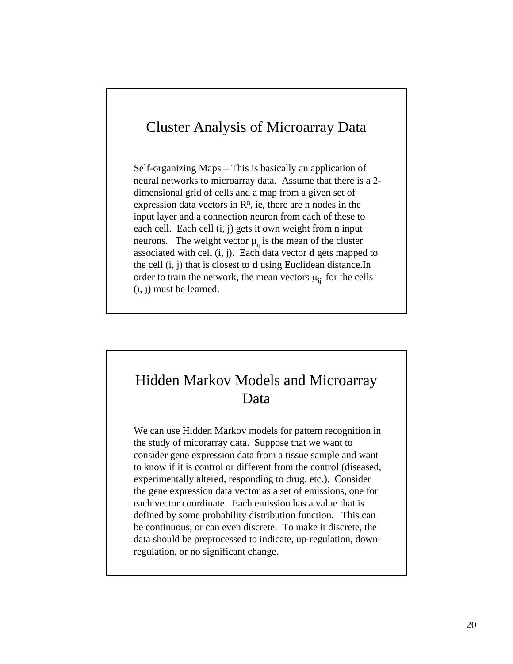#### Cluster Analysis of Microarray Data

Self-organizing Maps – This is basically an application of neural networks to microarray data. Assume that there is a 2 dimensional grid of cells and a map from a given set of expression data vectors in  $\mathbb{R}^n$ , ie, there are n nodes in the input layer and a connection neuron from each of these to each cell. Each cell (i, j) gets it own weight from n input neurons. The weight vector  $\mu_{ii}$  is the mean of the cluster associated with cell (i, j). Each data vector **d** gets mapped to the cell (i, j) that is closest to **d** using Euclidean distance.In order to train the network, the mean vectors  $\mu_{ii}$  for the cells (i, j) must be learned.

# Hidden Markov Models and Microarray Data

We can use Hidden Markov models for pattern recognition in the study of micorarray data. Suppose that we want to consider gene expression data from a tissue sample and want to know if it is control or different from the control (diseased, experimentally altered, responding to drug, etc.). Consider the gene expression data vector as a set of emissions, one for each vector coordinate. Each emission has a value that is defined by some probability distribution function. This can be continuous, or can even discrete. To make it discrete, the data should be preprocessed to indicate, up-regulation, downregulation, or no significant change.